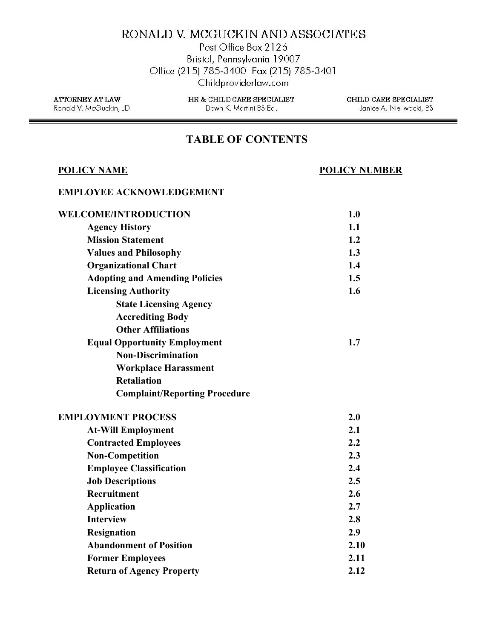## RONALD V. MCGUCKIN AND ASSOCIATES

Post Office Box 2126 Bristol, Pennsylvania 19007 Office (215) 785-3400 Fax (215) 785-3401 Childproviderlaw.com

ATTORNEY AT LAW Ronald V. McGuckin, JD HR & CHILD CARE SPECIALIST Dawn K. Martini BS Ed.

 $\textsc{CHILD}$  CARE SPECIALIST Janice A. Nieliwocki, BS

Ξ

## **TABLE OF CONTENTS**

| <b>POLICY NAME</b>                    | <b>POLICY NUMBER</b> |
|---------------------------------------|----------------------|
| <b>EMPLOYEE ACKNOWLEDGEMENT</b>       |                      |
| <b>WELCOME/INTRODUCTION</b>           | 1.0                  |
| <b>Agency History</b>                 | 1.1                  |
| <b>Mission Statement</b>              | 1.2                  |
| <b>Values and Philosophy</b>          | 1.3                  |
| <b>Organizational Chart</b>           | 1.4                  |
| <b>Adopting and Amending Policies</b> | 1.5                  |
| <b>Licensing Authority</b>            | 1.6                  |
| <b>State Licensing Agency</b>         |                      |
| <b>Accrediting Body</b>               |                      |
| <b>Other Affiliations</b>             |                      |
| <b>Equal Opportunity Employment</b>   | 1.7                  |
| <b>Non-Discrimination</b>             |                      |
| <b>Workplace Harassment</b>           |                      |
| <b>Retaliation</b>                    |                      |
| <b>Complaint/Reporting Procedure</b>  |                      |
| <b>EMPLOYMENT PROCESS</b>             | 2.0                  |
| <b>At-Will Employment</b>             | 2.1                  |
| <b>Contracted Employees</b>           | 2.2                  |
| <b>Non-Competition</b>                | 2.3                  |
| <b>Employee Classification</b>        | 2.4                  |
| <b>Job Descriptions</b>               | 2.5                  |
| <b>Recruitment</b>                    | 2.6                  |
| <b>Application</b>                    | 2.7                  |
| <b>Interview</b>                      | 2.8                  |
| <b>Resignation</b>                    | 2.9                  |
| <b>Abandonment of Position</b>        | 2.10                 |
| <b>Former Employees</b>               | 2.11                 |
| <b>Return of Agency Property</b>      | 2.12                 |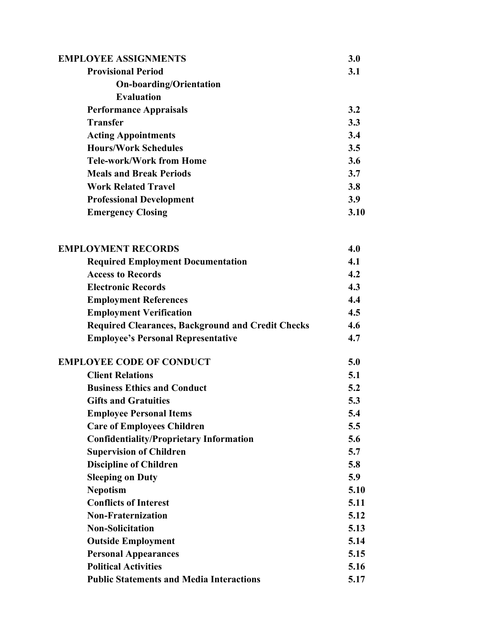| <b>EMPLOYEE ASSIGNMENTS</b>     | 3.0  |
|---------------------------------|------|
| <b>Provisional Period</b>       | 3.1  |
| <b>On-boarding/Orientation</b>  |      |
| <b>Evaluation</b>               |      |
| <b>Performance Appraisals</b>   | 3.2  |
| <b>Transfer</b>                 | 3.3  |
| <b>Acting Appointments</b>      | 3.4  |
| <b>Hours/Work Schedules</b>     | 3.5  |
| Tele-work/Work from Home        | 3.6  |
| <b>Meals and Break Periods</b>  | 3.7  |
| <b>Work Related Travel</b>      | 3.8  |
| <b>Professional Development</b> | 3.9  |
| <b>Emergency Closing</b>        | 3.10 |
|                                 |      |

| <b>EMPLOYMENT RECORDS</b>                                | 4.0 |
|----------------------------------------------------------|-----|
| <b>Required Employment Documentation</b>                 | 4.1 |
| <b>Access to Records</b>                                 | 4.2 |
| <b>Electronic Records</b>                                | 4.3 |
| <b>Employment References</b>                             | 4.4 |
| <b>Employment Verification</b>                           | 4.5 |
| <b>Required Clearances, Background and Credit Checks</b> | 4.6 |
| <b>Employee's Personal Representative</b>                | 4.7 |
|                                                          |     |

| <b>EMPLOYEE CODE OF CONDUCT</b>                 | 5.0  |
|-------------------------------------------------|------|
| <b>Client Relations</b>                         | 5.1  |
| <b>Business Ethics and Conduct</b>              | 5.2  |
| <b>Gifts and Gratuities</b>                     | 5.3  |
| <b>Employee Personal Items</b>                  | 5.4  |
| <b>Care of Employees Children</b>               | 5.5  |
| <b>Confidentiality/Proprietary Information</b>  | 5.6  |
| <b>Supervision of Children</b>                  | 5.7  |
| <b>Discipline of Children</b>                   | 5.8  |
| <b>Sleeping on Duty</b>                         | 5.9  |
| <b>Nepotism</b>                                 | 5.10 |
| <b>Conflicts of Interest</b>                    | 5.11 |
| <b>Non-Fraternization</b>                       | 5.12 |
| <b>Non-Solicitation</b>                         | 5.13 |
| <b>Outside Employment</b>                       | 5.14 |
| <b>Personal Appearances</b>                     | 5.15 |
| <b>Political Activities</b>                     | 5.16 |
| <b>Public Statements and Media Interactions</b> | 5.17 |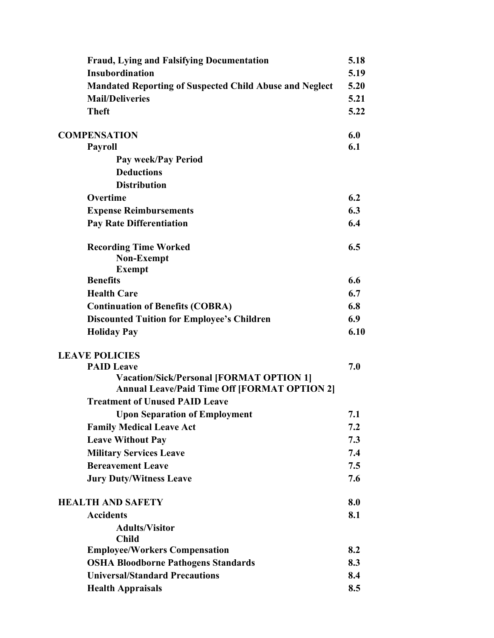| <b>Fraud, Lying and Falsifying Documentation</b>                                                       | 5.18 |
|--------------------------------------------------------------------------------------------------------|------|
| Insubordination                                                                                        | 5.19 |
| <b>Mandated Reporting of Suspected Child Abuse and Neglect</b>                                         | 5.20 |
| <b>Mail/Deliveries</b>                                                                                 | 5.21 |
| <b>Theft</b>                                                                                           | 5.22 |
| <b>COMPENSATION</b>                                                                                    | 6.0  |
| <b>Payroll</b>                                                                                         | 6.1  |
| <b>Pay week/Pay Period</b>                                                                             |      |
| <b>Deductions</b>                                                                                      |      |
| <b>Distribution</b>                                                                                    |      |
| Overtime                                                                                               | 6.2  |
| <b>Expense Reimbursements</b>                                                                          | 6.3  |
| <b>Pay Rate Differentiation</b>                                                                        | 6.4  |
| <b>Recording Time Worked</b>                                                                           | 6.5  |
| <b>Non-Exempt</b>                                                                                      |      |
| <b>Exempt</b>                                                                                          |      |
| <b>Benefits</b>                                                                                        | 6.6  |
| <b>Health Care</b>                                                                                     | 6.7  |
| <b>Continuation of Benefits (COBRA)</b>                                                                | 6.8  |
| <b>Discounted Tuition for Employee's Children</b>                                                      | 6.9  |
| <b>Holiday Pay</b>                                                                                     | 6.10 |
| <b>LEAVE POLICIES</b>                                                                                  |      |
| <b>PAID Leave</b>                                                                                      | 7.0  |
| <b>Vacation/Sick/Personal [FORMAT OPTION 1]</b><br><b>Annual Leave/Paid Time Off [FORMAT OPTION 2]</b> |      |
| <b>Treatment of Unused PAID Leave</b>                                                                  |      |
| <b>Upon Separation of Employment</b>                                                                   | 7.1  |
| <b>Family Medical Leave Act</b>                                                                        | 7.2  |
| <b>Leave Without Pay</b>                                                                               | 7.3  |
| <b>Military Services Leave</b>                                                                         | 7.4  |
| <b>Bereavement Leave</b>                                                                               | 7.5  |
| <b>Jury Duty/Witness Leave</b>                                                                         | 7.6  |
| <b>HEALTH AND SAFETY</b>                                                                               | 8.0  |
| <b>Accidents</b>                                                                                       | 8.1  |
| <b>Adults/Visitor</b>                                                                                  |      |
| <b>Child</b>                                                                                           |      |
| <b>Employee/Workers Compensation</b>                                                                   | 8.2  |
| <b>OSHA Bloodborne Pathogens Standards</b>                                                             | 8.3  |
| <b>Universal/Standard Precautions</b>                                                                  | 8.4  |
| <b>Health Appraisals</b>                                                                               | 8.5  |